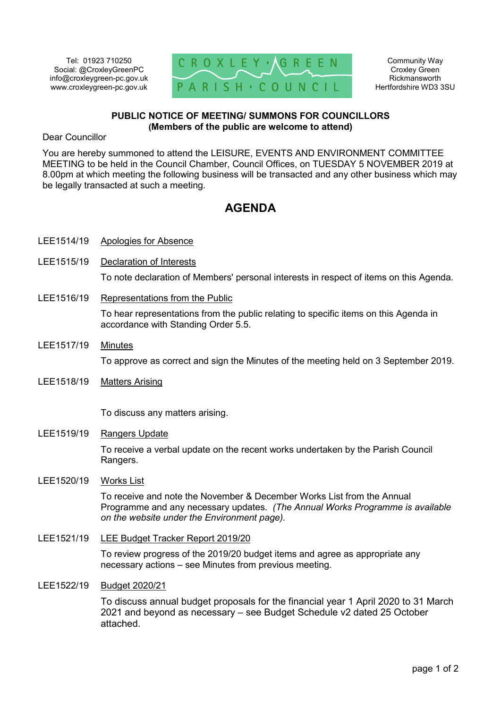Tel: 01923 710250 Social: @CroxleyGreenPC info@croxleygreen-pc.gov.uk www.croxleygreen-pc.gov.uk



Community Way Croxley Green Rickmansworth Hertfordshire WD3 3SU

## **PUBLIC NOTICE OF MEETING/ SUMMONS FOR COUNCILLORS (Members of the public are welcome to attend)**

Dear Councillor

You are hereby summoned to attend the LEISURE, EVENTS AND ENVIRONMENT COMMITTEE MEETING to be held in the Council Chamber, Council Offices, on TUESDAY 5 NOVEMBER 2019 at 8.00pm at which meeting the following business will be transacted and any other business which may be legally transacted at such a meeting.

## **AGENDA**

- LEE1514/19 Apologies for Absence
- LEE1515/19 Declaration of Interests

To note declaration of Members' personal interests in respect of items on this Agenda.

LEE1516/19 Representations from the Public

To hear representations from the public relating to specific items on this Agenda in accordance with Standing Order 5.5.

- LEE1517/19 Minutes To approve as correct and sign the Minutes of the meeting held on 3 September 2019.
- LEE1518/19 Matters Arising

To discuss any matters arising.

LEE1519/19 Rangers Update

To receive a verbal update on the recent works undertaken by the Parish Council Rangers.

LEE1520/19 Works List

To receive and note the November & December Works List from the Annual Programme and any necessary updates. *(The Annual Works Programme is available on the website under the Environment page).*

LEE1521/19 LEE Budget Tracker Report 2019/20

To review progress of the 2019/20 budget items and agree as appropriate any necessary actions – see Minutes from previous meeting.

## LEE1522/19 Budget 2020/21

To discuss annual budget proposals for the financial year 1 April 2020 to 31 March 2021 and beyond as necessary – see Budget Schedule v2 dated 25 October attached.